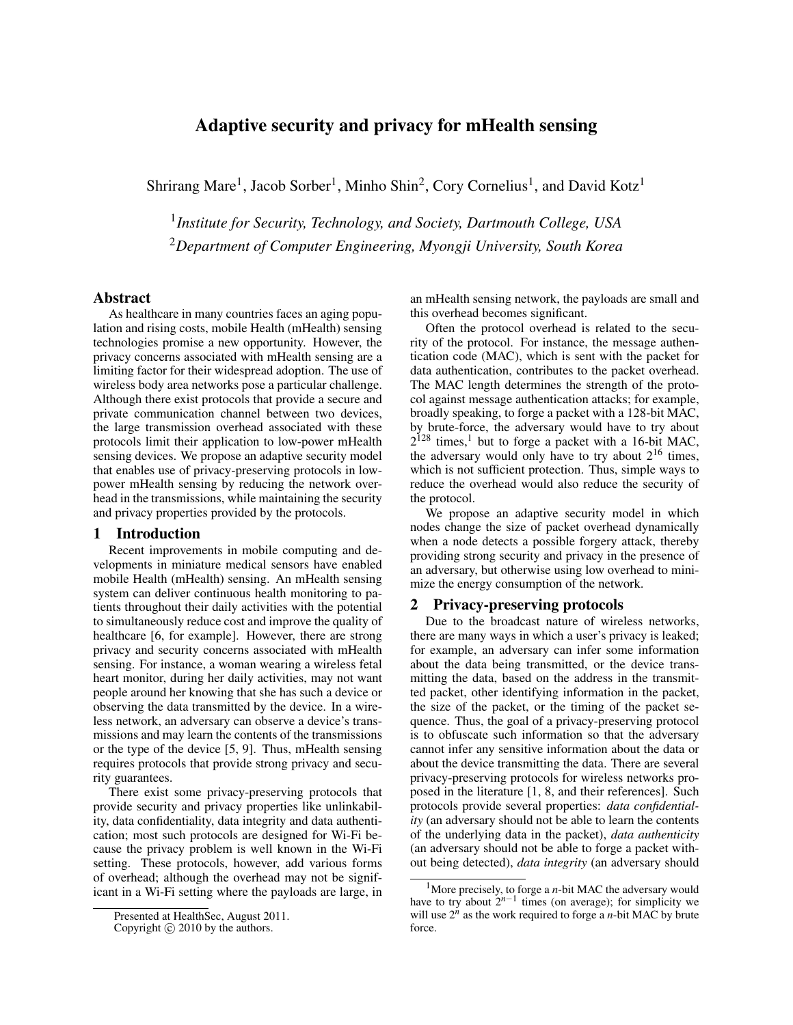# Adaptive security and privacy for mHealth sensing

Shrirang Mare<sup>1</sup>, Jacob Sorber<sup>1</sup>, Minho Shin<sup>2</sup>, Cory Cornelius<sup>1</sup>, and David Kotz<sup>1</sup>

1 *Institute for Security, Technology, and Society, Dartmouth College, USA* <sup>2</sup>*Department of Computer Engineering, Myongji University, South Korea*

#### Abstract

As healthcare in many countries faces an aging population and rising costs, mobile Health (mHealth) sensing technologies promise a new opportunity. However, the privacy concerns associated with mHealth sensing are a limiting factor for their widespread adoption. The use of wireless body area networks pose a particular challenge. Although there exist protocols that provide a secure and private communication channel between two devices, the large transmission overhead associated with these protocols limit their application to low-power mHealth sensing devices. We propose an adaptive security model that enables use of privacy-preserving protocols in lowpower mHealth sensing by reducing the network overhead in the transmissions, while maintaining the security and privacy properties provided by the protocols.

## 1 Introduction

Recent improvements in mobile computing and developments in miniature medical sensors have enabled mobile Health (mHealth) sensing. An mHealth sensing system can deliver continuous health monitoring to patients throughout their daily activities with the potential to simultaneously reduce cost and improve the quality of healthcare [\[6,](#page-4-0) for example]. However, there are strong privacy and security concerns associated with mHealth sensing. For instance, a woman wearing a wireless fetal heart monitor, during her daily activities, may not want people around her knowing that she has such a device or observing the data transmitted by the device. In a wireless network, an adversary can observe a device's transmissions and may learn the contents of the transmissions or the type of the device [\[5,](#page-4-1) [9\]](#page-4-2). Thus, mHealth sensing requires protocols that provide strong privacy and security guarantees.

There exist some privacy-preserving protocols that provide security and privacy properties like unlinkability, data confidentiality, data integrity and data authentication; most such protocols are designed for Wi-Fi because the privacy problem is well known in the Wi-Fi setting. These protocols, however, add various forms of overhead; although the overhead may not be significant in a Wi-Fi setting where the payloads are large, in

an mHealth sensing network, the payloads are small and this overhead becomes significant.

Often the protocol overhead is related to the security of the protocol. For instance, the message authentication code (MAC), which is sent with the packet for data authentication, contributes to the packet overhead. The MAC length determines the strength of the protocol against message authentication attacks; for example, broadly speaking, to forge a packet with a 128-bit MAC, by brute-force, the adversary would have to try about  $2^{128}$  $2^{128}$  $2^{128}$  times,<sup>1</sup> but to forge a packet with a 16-bit MAC, the adversary would only have to try about  $2^{16}$  times, which is not sufficient protection. Thus, simple ways to reduce the overhead would also reduce the security of the protocol.

We propose an adaptive security model in which nodes change the size of packet overhead dynamically when a node detects a possible forgery attack, thereby providing strong security and privacy in the presence of an adversary, but otherwise using low overhead to minimize the energy consumption of the network.

# 2 Privacy-preserving protocols

Due to the broadcast nature of wireless networks, there are many ways in which a user's privacy is leaked; for example, an adversary can infer some information about the data being transmitted, or the device transmitting the data, based on the address in the transmitted packet, other identifying information in the packet, the size of the packet, or the timing of the packet sequence. Thus, the goal of a privacy-preserving protocol is to obfuscate such information so that the adversary cannot infer any sensitive information about the data or about the device transmitting the data. There are several privacy-preserving protocols for wireless networks proposed in the literature [\[1,](#page-4-3) [8,](#page-4-4) and their references]. Such protocols provide several properties: *data confidentiality* (an adversary should not be able to learn the contents of the underlying data in the packet), *data authenticity* (an adversary should not be able to forge a packet without being detected), *data integrity* (an adversary should

Presented at HealthSec, August 2011.

Copyright  $\circled{c}$  2010 by the authors.

<span id="page-0-0"></span><sup>&</sup>lt;sup>1</sup>More precisely, to forge a *n*-bit MAC the adversary would have to try about  $2^{n-1}$  times (on average); for simplicity we will use  $2^n$  as the work required to forge a *n*-bit MAC by brute force.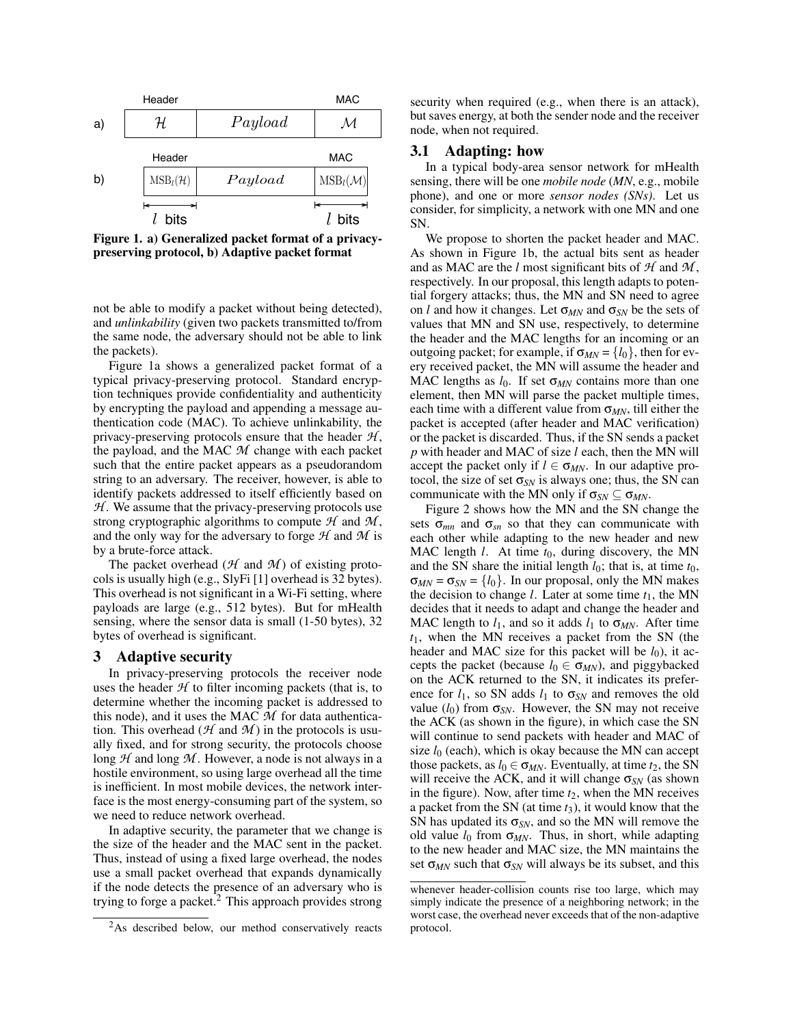

<span id="page-1-0"></span>Figure 1. a) Generalized packet format of a privacypreserving protocol, b) Adaptive packet format

not be able to modify a packet without being detected), and *unlinkability* (given two packets transmitted to/from the same node, the adversary should not be able to link the packets).

Figure [1a](#page-1-0) shows a generalized packet format of a typical privacy-preserving protocol. Standard encryption techniques provide confidentiality and authenticity by encrypting the payload and appending a message authentication code (MAC). To achieve unlinkability, the privacy-preserving protocols ensure that the header *H* , the payload, and the MAC *M* change with each packet such that the entire packet appears as a pseudorandom string to an adversary. The receiver, however, is able to identify packets addressed to itself efficiently based on *H*. We assume that the privacy-preserving protocols use strong cryptographic algorithms to compute  $H$  and  $M$ , and the only way for the adversary to forge *H* and *M* is by a brute-force attack.

The packet overhead ( $H$  and  $M$ ) of existing protocols is usually high (e.g., SlyFi [\[1\]](#page-4-3) overhead is 32 bytes). This overhead is not significant in a Wi-Fi setting, where payloads are large (e.g., 512 bytes). But for mHealth sensing, where the sensor data is small (1-50 bytes), 32 bytes of overhead is significant.

#### 3 Adaptive security

In privacy-preserving protocols the receiver node uses the header  $H$  to filter incoming packets (that is, to determine whether the incoming packet is addressed to this node), and it uses the MAC *M* for data authentication. This overhead ( $H$  and  $M$ ) in the protocols is usually fixed, and for strong security, the protocols choose long *H* and long *M* . However, a node is not always in a hostile environment, so using large overhead all the time is inefficient. In most mobile devices, the network interface is the most energy-consuming part of the system, so we need to reduce network overhead.

In adaptive security, the parameter that we change is the size of the header and the MAC sent in the packet. Thus, instead of using a fixed large overhead, the nodes use a small packet overhead that expands dynamically if the node detects the presence of an adversary who is trying to forge a packet.<sup>[2](#page-1-1)</sup> This approach provides strong security when required (e.g., when there is an attack), but saves energy, at both the sender node and the receiver node, when not required.

#### 3.1 Adapting: how

In a typical body-area sensor network for mHealth sensing, there will be one *mobile node* (*MN*, e.g., mobile phone), and one or more *sensor nodes (SNs)*. Let us consider, for simplicity, a network with one MN and one SN.

We propose to shorten the packet header and MAC. As shown in Figure [1b](#page-1-0), the actual bits sent as header and as MAC are the *l* most significant bits of  $H$  and  $M$ , respectively. In our proposal, this length adapts to potential forgery attacks; thus, the MN and SN need to agree on *l* and how it changes. Let σ*MN* and σ*SN* be the sets of values that MN and SN use, respectively, to determine the header and the MAC lengths for an incoming or an outgoing packet; for example, if  $\sigma_{MN} = \{l_0\}$ , then for every received packet, the MN will assume the header and MAC lengths as  $l_0$ . If set  $\sigma_{MN}$  contains more than one element, then MN will parse the packet multiple times, each time with a different value from  $\sigma_{MN}$ , till either the packet is accepted (after header and MAC verification) or the packet is discarded. Thus, if the SN sends a packet *p* with header and MAC of size *l* each, then the MN will accept the packet only if  $l \in \sigma_{MN}$ . In our adaptive protocol, the size of set  $\sigma_{SN}$  is always one; thus, the SN can communicate with the MN only if  $\sigma_{SN} \subseteq \sigma_{MN}$ .

Figure [2](#page-2-0) shows how the MN and the SN change the sets  $\sigma_{mn}$  and  $\sigma_{sn}$  so that they can communicate with each other while adapting to the new header and new MAC length *l*. At time  $t_0$ , during discovery, the MN and the SN share the initial length  $l_0$ ; that is, at time  $t_0$ ,  $\sigma_{MN} = \sigma_{SN} = \{l_0\}$ . In our proposal, only the MN makes the decision to change *l*. Later at some time  $t_1$ , the MN decides that it needs to adapt and change the header and MAC length to  $l_1$ , and so it adds  $l_1$  to  $\sigma_{MN}$ . After time *t*1, when the MN receives a packet from the SN (the header and MAC size for this packet will be  $l_0$ ), it accepts the packet (because  $l_0 \in \sigma_{MN}$ ), and piggybacked on the ACK returned to the SN, it indicates its preference for  $l_1$ , so SN adds  $l_1$  to  $\sigma_{SN}$  and removes the old value  $(l_0)$  from  $\sigma_{SN}$ . However, the SN may not receive the ACK (as shown in the figure), in which case the SN will continue to send packets with header and MAC of size  $l_0$  (each), which is okay because the MN can accept those packets, as  $l_0 \in \sigma_{MN}$ . Eventually, at time  $t_2$ , the SN will receive the ACK, and it will change σ*SN* (as shown in the figure). Now, after time  $t_2$ , when the MN receives a packet from the SN (at time *t*3), it would know that the SN has updated its  $\sigma_{SN}$ , and so the MN will remove the old value  $l_0$  from  $\sigma_{MN}$ . Thus, in short, while adapting to the new header and MAC size, the MN maintains the set  $\sigma_{MN}$  such that  $\sigma_{SN}$  will always be its subset, and this

<span id="page-1-1"></span><sup>&</sup>lt;sup>2</sup>As described below, our method conservatively reacts

whenever header-collision counts rise too large, which may simply indicate the presence of a neighboring network; in the worst case, the overhead never exceeds that of the non-adaptive protocol.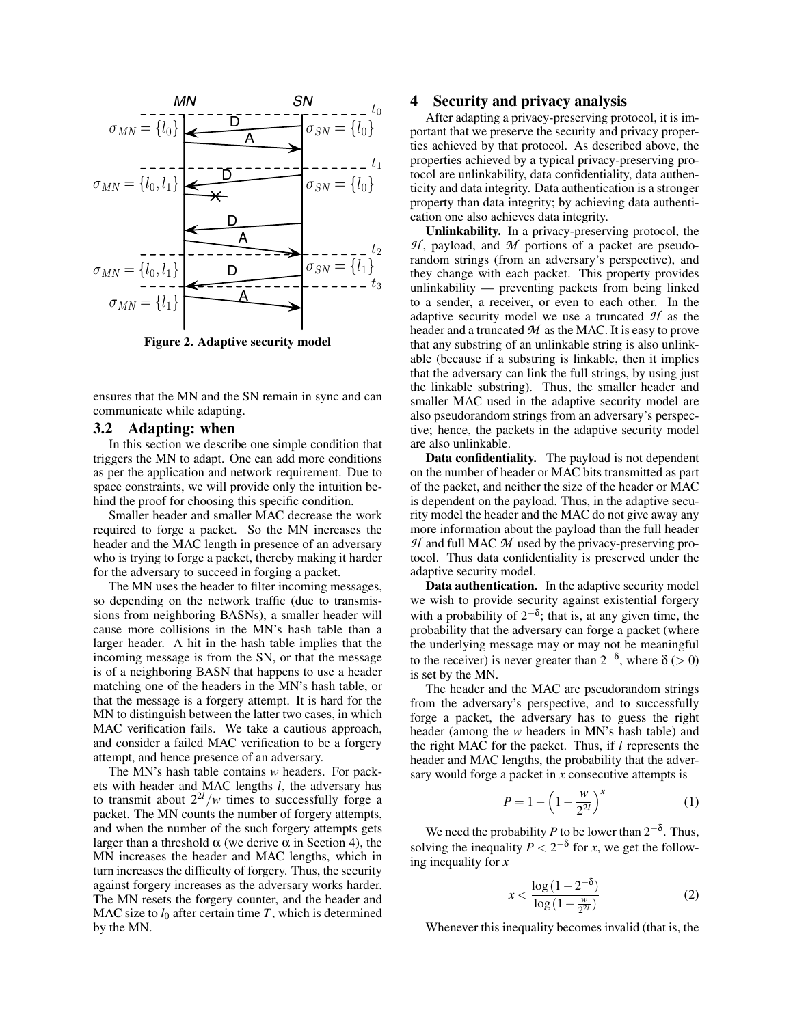

<span id="page-2-0"></span>Figure 2. Adaptive security model

ensures that the MN and the SN remain in sync and can communicate while adapting.

#### 3.2 Adapting: when

In this section we describe one simple condition that triggers the MN to adapt. One can add more conditions as per the application and network requirement. Due to space constraints, we will provide only the intuition behind the proof for choosing this specific condition.

Smaller header and smaller MAC decrease the work required to forge a packet. So the MN increases the header and the MAC length in presence of an adversary who is trying to forge a packet, thereby making it harder for the adversary to succeed in forging a packet.

The MN uses the header to filter incoming messages, so depending on the network traffic (due to transmissions from neighboring BASNs), a smaller header will cause more collisions in the MN's hash table than a larger header. A hit in the hash table implies that the incoming message is from the SN, or that the message is of a neighboring BASN that happens to use a header matching one of the headers in the MN's hash table, or that the message is a forgery attempt. It is hard for the MN to distinguish between the latter two cases, in which MAC verification fails. We take a cautious approach, and consider a failed MAC verification to be a forgery attempt, and hence presence of an adversary.

The MN's hash table contains *w* headers. For packets with header and MAC lengths *l*, the adversary has to transmit about  $2^{2l}/w$  times to successfully forge a packet. The MN counts the number of forgery attempts, and when the number of the such forgery attempts gets larger than a threshold  $\alpha$  (we derive  $\alpha$  in Section [4\)](#page-2-1), the MN increases the header and MAC lengths, which in turn increases the difficulty of forgery. Thus, the security against forgery increases as the adversary works harder. The MN resets the forgery counter, and the header and MAC size to  $l_0$  after certain time T, which is determined by the MN.

#### <span id="page-2-1"></span>4 Security and privacy analysis

After adapting a privacy-preserving protocol, it is important that we preserve the security and privacy properties achieved by that protocol. As described above, the properties achieved by a typical privacy-preserving protocol are unlinkability, data confidentiality, data authenticity and data integrity. Data authentication is a stronger property than data integrity; by achieving data authentication one also achieves data integrity.

Unlinkability. In a privacy-preserving protocol, the  $H$ , payload, and  $M$  portions of a packet are pseudorandom strings (from an adversary's perspective), and they change with each packet. This property provides unlinkability — preventing packets from being linked to a sender, a receiver, or even to each other. In the adaptive security model we use a truncated *H* as the header and a truncated *M* as the MAC. It is easy to prove that any substring of an unlinkable string is also unlinkable (because if a substring is linkable, then it implies that the adversary can link the full strings, by using just the linkable substring). Thus, the smaller header and smaller MAC used in the adaptive security model are also pseudorandom strings from an adversary's perspective; hence, the packets in the adaptive security model are also unlinkable.

Data confidentiality. The payload is not dependent on the number of header or MAC bits transmitted as part of the packet, and neither the size of the header or MAC is dependent on the payload. Thus, in the adaptive security model the header and the MAC do not give away any more information about the payload than the full header *H* and full MAC *M* used by the privacy-preserving protocol. Thus data confidentiality is preserved under the adaptive security model.

Data authentication. In the adaptive security model we wish to provide security against existential forgery with a probability of  $2^{-\delta}$ ; that is, at any given time, the probability that the adversary can forge a packet (where the underlying message may or may not be meaningful to the receiver) is never greater than  $2^{-\delta}$ , where  $\delta$  (> 0) is set by the MN.

The header and the MAC are pseudorandom strings from the adversary's perspective, and to successfully forge a packet, the adversary has to guess the right header (among the *w* headers in MN's hash table) and the right MAC for the packet. Thus, if *l* represents the header and MAC lengths, the probability that the adversary would forge a packet in *x* consecutive attempts is

$$
P = 1 - \left(1 - \frac{w}{2^{2l}}\right)^x\tag{1}
$$

We need the probability *P* to be lower than  $2^{-\delta}$ . Thus, solving the inequality  $P < 2^{-\delta}$  for *x*, we get the following inequality for *x*

<span id="page-2-2"></span>
$$
x < \frac{\log\left(1 - 2^{-\delta}\right)}{\log\left(1 - \frac{w}{2^{2l}}\right)}\tag{2}
$$

Whenever this inequality becomes invalid (that is, the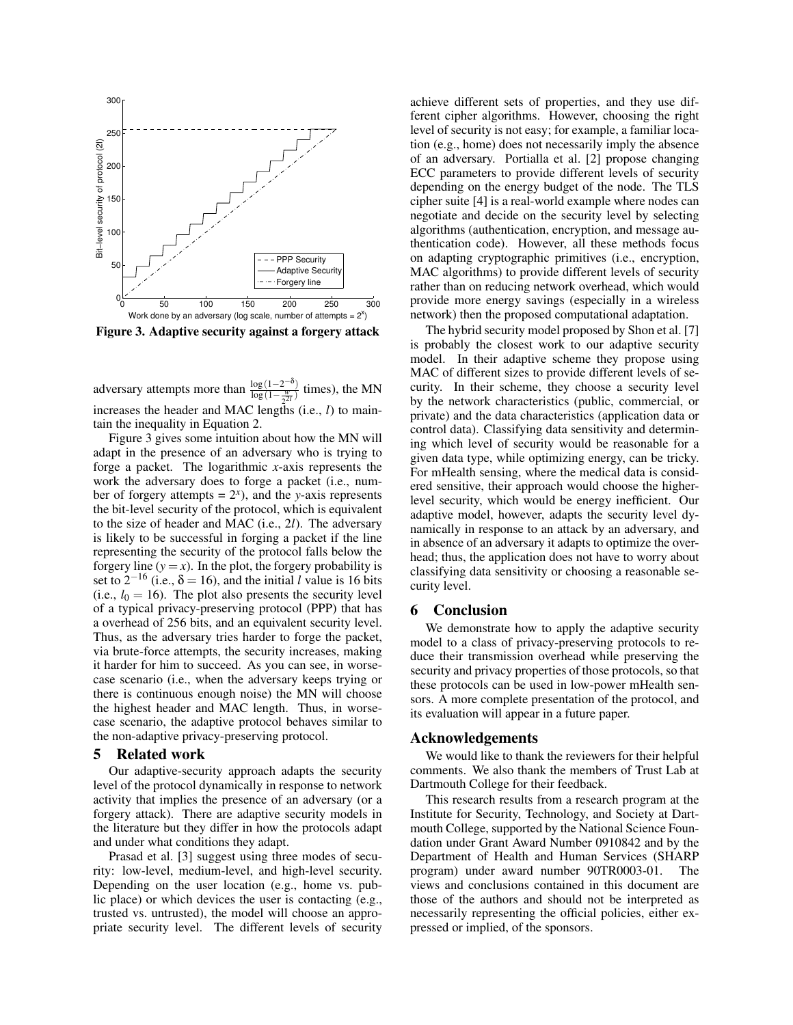

<span id="page-3-0"></span>Figure 3. Adaptive security against a forgery attack

adversary attempts more than  $\frac{\log(1-2^{-\delta})}{\log(1-\frac{w}{2})}$  $\frac{\log(1-2)}{\log(1-\frac{w}{2^{2l}})}$  times), the MN increases the header and MAC lengths (i.e., *l*) to maintain the inequality in Equation [2.](#page-2-2)

Figure [3](#page-3-0) gives some intuition about how the MN will adapt in the presence of an adversary who is trying to forge a packet. The logarithmic *x*-axis represents the work the adversary does to forge a packet (i.e., number of forgery attempts =  $2<sup>x</sup>$ ), and the *y*-axis represents the bit-level security of the protocol, which is equivalent to the size of header and MAC (i.e., 2*l*). The adversary is likely to be successful in forging a packet if the line representing the security of the protocol falls below the forgery line  $(y = x)$ . In the plot, the forgery probability is set to  $2^{-16}$  (i.e.,  $\delta = 16$ ), and the initial *l* value is 16 bits (i.e.,  $l_0 = 16$ ). The plot also presents the security level of a typical privacy-preserving protocol (PPP) that has a overhead of 256 bits, and an equivalent security level. Thus, as the adversary tries harder to forge the packet, via brute-force attempts, the security increases, making it harder for him to succeed. As you can see, in worsecase scenario (i.e., when the adversary keeps trying or there is continuous enough noise) the MN will choose the highest header and MAC length. Thus, in worsecase scenario, the adaptive protocol behaves similar to the non-adaptive privacy-preserving protocol.

#### 5 Related work

Our adaptive-security approach adapts the security level of the protocol dynamically in response to network activity that implies the presence of an adversary (or a forgery attack). There are adaptive security models in the literature but they differ in how the protocols adapt and under what conditions they adapt.

Prasad et al. [\[3\]](#page-4-5) suggest using three modes of security: low-level, medium-level, and high-level security. Depending on the user location (e.g., home vs. public place) or which devices the user is contacting (e.g., trusted vs. untrusted), the model will choose an appropriate security level. The different levels of security

achieve different sets of properties, and they use different cipher algorithms. However, choosing the right level of security is not easy; for example, a familiar location (e.g., home) does not necessarily imply the absence of an adversary. Portialla et al. [\[2\]](#page-4-6) propose changing ECC parameters to provide different levels of security depending on the energy budget of the node. The TLS cipher suite [\[4\]](#page-4-7) is a real-world example where nodes can negotiate and decide on the security level by selecting algorithms (authentication, encryption, and message authentication code). However, all these methods focus on adapting cryptographic primitives (i.e., encryption, MAC algorithms) to provide different levels of security rather than on reducing network overhead, which would provide more energy savings (especially in a wireless network) then the proposed computational adaptation.

The hybrid security model proposed by Shon et al. [\[7\]](#page-4-8) is probably the closest work to our adaptive security model. In their adaptive scheme they propose using MAC of different sizes to provide different levels of security. In their scheme, they choose a security level by the network characteristics (public, commercial, or private) and the data characteristics (application data or control data). Classifying data sensitivity and determining which level of security would be reasonable for a given data type, while optimizing energy, can be tricky. For mHealth sensing, where the medical data is considered sensitive, their approach would choose the higherlevel security, which would be energy inefficient. Our adaptive model, however, adapts the security level dynamically in response to an attack by an adversary, and in absence of an adversary it adapts to optimize the overhead; thus, the application does not have to worry about classifying data sensitivity or choosing a reasonable security level.

#### 6 Conclusion

We demonstrate how to apply the adaptive security model to a class of privacy-preserving protocols to reduce their transmission overhead while preserving the security and privacy properties of those protocols, so that these protocols can be used in low-power mHealth sensors. A more complete presentation of the protocol, and its evaluation will appear in a future paper.

#### Acknowledgements

We would like to thank the reviewers for their helpful comments. We also thank the members of Trust Lab at Dartmouth College for their feedback.

This research results from a research program at the Institute for Security, Technology, and Society at Dartmouth College, supported by the National Science Foundation under Grant Award Number 0910842 and by the Department of Health and Human Services (SHARP program) under award number 90TR0003-01. views and conclusions contained in this document are those of the authors and should not be interpreted as necessarily representing the official policies, either expressed or implied, of the sponsors.